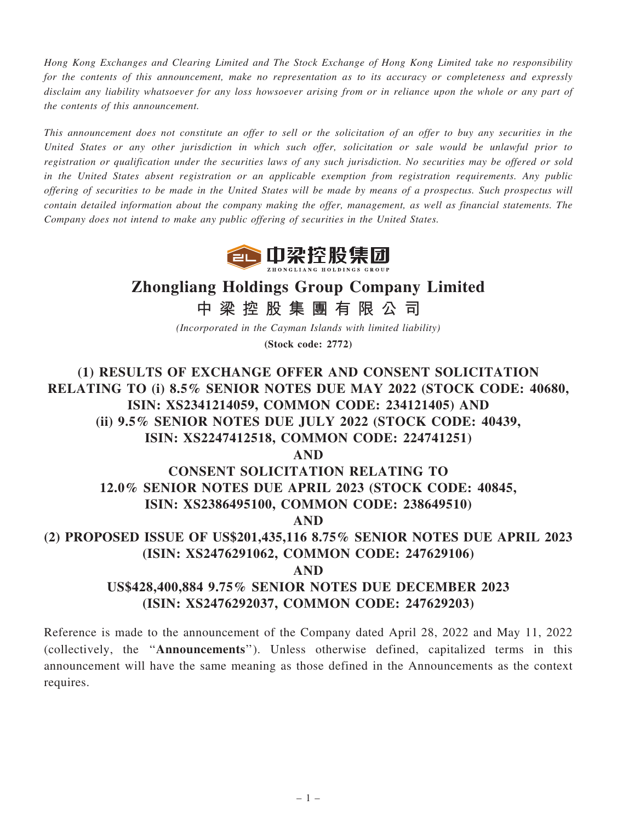Hong Kong Exchanges and Clearing Limited and The Stock Exchange of Hong Kong Limited take no responsibility for the contents of this announcement, make no representation as to its accuracy or completeness and expressly disclaim any liability whatsoever for any loss howsoever arising from or in reliance upon the whole or any part of the contents of this announcement.

This announcement does not constitute an offer to sell or the solicitation of an offer to buy any securities in the United States or any other jurisdiction in which such offer, solicitation or sale would be unlawful prior to registration or qualification under the securities laws of any such jurisdiction. No securities may be offered or sold in the United States absent registration or an applicable exemption from registration requirements. Any public offering of securities to be made in the United States will be made by means of a prospectus. Such prospectus will contain detailed information about the company making the offer, management, as well as financial statements. The Company does not intend to make any public offering of securities in the United States.



# Zhongliang Holdings Group Company Limited

中 梁 控 股 集 團 有 限 公 司

(Incorporated in the Cayman Islands with limited liability) (Stock code: 2772)

(1) RESULTS OF EXCHANGE OFFER AND CONSENT SOLICITATION RELATING TO (i) 8.5% SENIOR NOTES DUE MAY 2022 (STOCK CODE: 40680, ISIN: XS2341214059, COMMON CODE: 234121405) AND (ii) 9.5% SENIOR NOTES DUE JULY 2022 (STOCK CODE: 40439, ISIN: XS2247412518, COMMON CODE: 224741251) AND CONSENT SOLICITATION RELATING TO 12.0% SENIOR NOTES DUE APRIL 2023 (STOCK CODE: 40845, ISIN: XS2386495100, COMMON CODE: 238649510) AND (2) PROPOSED ISSUE OF US\$201,435,116 8.75% SENIOR NOTES DUE APRIL 2023 (ISIN: XS2476291062, COMMON CODE: 247629106) AND US\$428,400,884 9.75% SENIOR NOTES DUE DECEMBER 2023 (ISIN: XS2476292037, COMMON CODE: 247629203)

Reference is made to the announcement of the Company dated April 28, 2022 and May 11, 2022 (collectively, the ''Announcements''). Unless otherwise defined, capitalized terms in this announcement will have the same meaning as those defined in the Announcements as the context requires.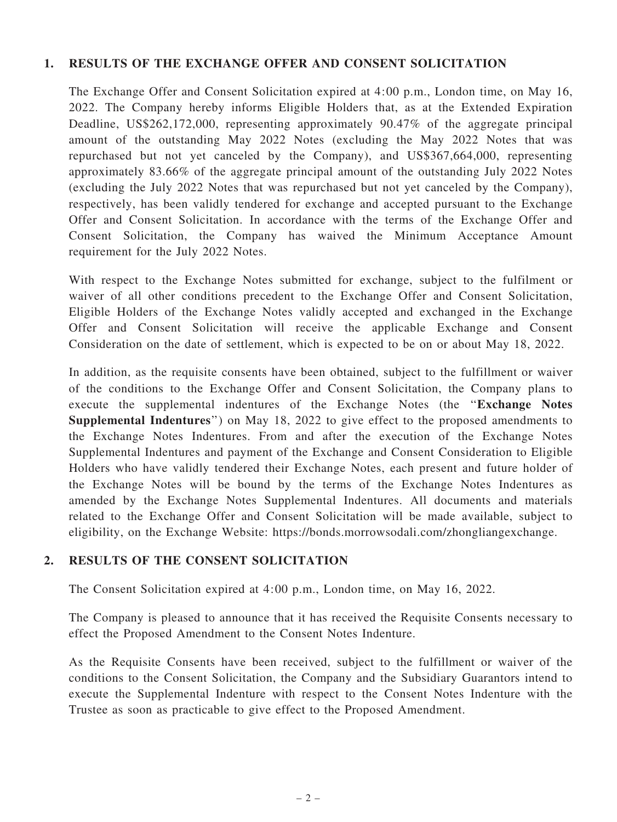## 1. RESULTS OF THE EXCHANGE OFFER AND CONSENT SOLICITATION

The Exchange Offer and Consent Solicitation expired at 4:00 p.m., London time, on May 16, 2022. The Company hereby informs Eligible Holders that, as at the Extended Expiration Deadline, US\$262,172,000, representing approximately 90.47% of the aggregate principal amount of the outstanding May 2022 Notes (excluding the May 2022 Notes that was repurchased but not yet canceled by the Company), and US\$367,664,000, representing approximately 83.66% of the aggregate principal amount of the outstanding July 2022 Notes (excluding the July 2022 Notes that was repurchased but not yet canceled by the Company), respectively, has been validly tendered for exchange and accepted pursuant to the Exchange Offer and Consent Solicitation. In accordance with the terms of the Exchange Offer and Consent Solicitation, the Company has waived the Minimum Acceptance Amount requirement for the July 2022 Notes.

With respect to the Exchange Notes submitted for exchange, subject to the fulfilment or waiver of all other conditions precedent to the Exchange Offer and Consent Solicitation, Eligible Holders of the Exchange Notes validly accepted and exchanged in the Exchange Offer and Consent Solicitation will receive the applicable Exchange and Consent Consideration on the date of settlement, which is expected to be on or about May 18, 2022.

In addition, as the requisite consents have been obtained, subject to the fulfillment or waiver of the conditions to the Exchange Offer and Consent Solicitation, the Company plans to execute the supplemental indentures of the Exchange Notes (the ''Exchange Notes Supplemental Indentures'') on May 18, 2022 to give effect to the proposed amendments to the Exchange Notes Indentures. From and after the execution of the Exchange Notes Supplemental Indentures and payment of the Exchange and Consent Consideration to Eligible Holders who have validly tendered their Exchange Notes, each present and future holder of the Exchange Notes will be bound by the terms of the Exchange Notes Indentures as amended by the Exchange Notes Supplemental Indentures. All documents and materials related to the Exchange Offer and Consent Solicitation will be made available, subject to eligibility, on the Exchange Website:<https://bonds.morrowsodali.com/zhongliangexchange>.

## 2. RESULTS OF THE CONSENT SOLICITATION

The Consent Solicitation expired at 4:00 p.m., London time, on May 16, 2022.

The Company is pleased to announce that it has received the Requisite Consents necessary to effect the Proposed Amendment to the Consent Notes Indenture.

As the Requisite Consents have been received, subject to the fulfillment or waiver of the conditions to the Consent Solicitation, the Company and the Subsidiary Guarantors intend to execute the Supplemental Indenture with respect to the Consent Notes Indenture with the Trustee as soon as practicable to give effect to the Proposed Amendment.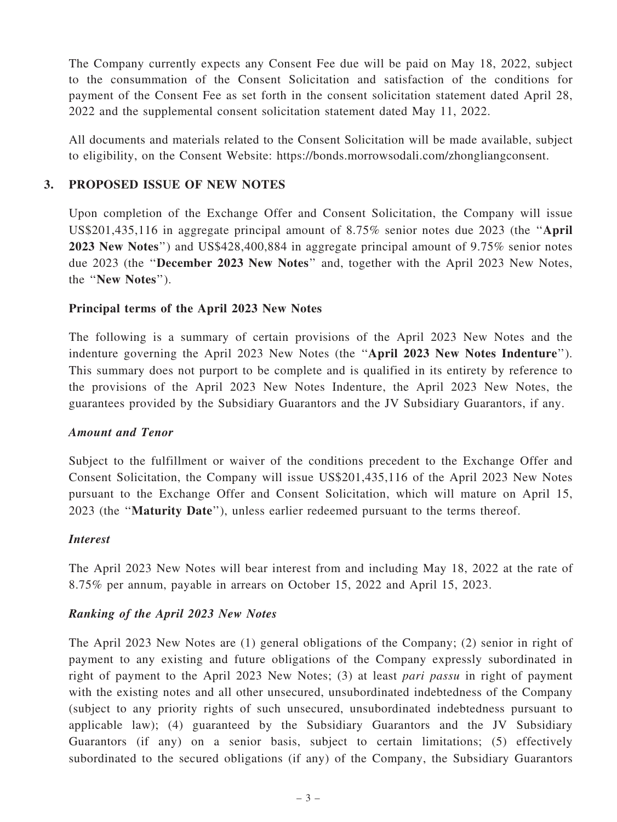The Company currently expects any Consent Fee due will be paid on May 18, 2022, subject to the consummation of the Consent Solicitation and satisfaction of the conditions for payment of the Consent Fee as set forth in the consent solicitation statement dated April 28, 2022 and the supplemental consent solicitation statement dated May 11, 2022.

All documents and materials related to the Consent Solicitation will be made available, subject to eligibility, on the Consent Website:<https://bonds.morrowsodali.com/zhongliangconsent>.

## 3. PROPOSED ISSUE OF NEW NOTES

Upon completion of the Exchange Offer and Consent Solicitation, the Company will issue US\$201,435,116 in aggregate principal amount of 8.75% senior notes due 2023 (the ''April 2023 New Notes'') and US\$428,400,884 in aggregate principal amount of 9.75% senior notes due 2023 (the ''December 2023 New Notes'' and, together with the April 2023 New Notes, the ''New Notes'').

## Principal terms of the April 2023 New Notes

The following is a summary of certain provisions of the April 2023 New Notes and the indenture governing the April 2023 New Notes (the ''April 2023 New Notes Indenture''). This summary does not purport to be complete and is qualified in its entirety by reference to the provisions of the April 2023 New Notes Indenture, the April 2023 New Notes, the guarantees provided by the Subsidiary Guarantors and the JV Subsidiary Guarantors, if any.

## Amount and Tenor

Subject to the fulfillment or waiver of the conditions precedent to the Exchange Offer and Consent Solicitation, the Company will issue US\$201,435,116 of the April 2023 New Notes pursuant to the Exchange Offer and Consent Solicitation, which will mature on April 15, 2023 (the ''Maturity Date''), unless earlier redeemed pursuant to the terms thereof.

## Interest

The April 2023 New Notes will bear interest from and including May 18, 2022 at the rate of 8.75% per annum, payable in arrears on October 15, 2022 and April 15, 2023.

## Ranking of the April 2023 New Notes

The April 2023 New Notes are (1) general obligations of the Company; (2) senior in right of payment to any existing and future obligations of the Company expressly subordinated in right of payment to the April 2023 New Notes; (3) at least pari passu in right of payment with the existing notes and all other unsecured, unsubordinated indebtedness of the Company (subject to any priority rights of such unsecured, unsubordinated indebtedness pursuant to applicable law); (4) guaranteed by the Subsidiary Guarantors and the JV Subsidiary Guarantors (if any) on a senior basis, subject to certain limitations; (5) effectively subordinated to the secured obligations (if any) of the Company, the Subsidiary Guarantors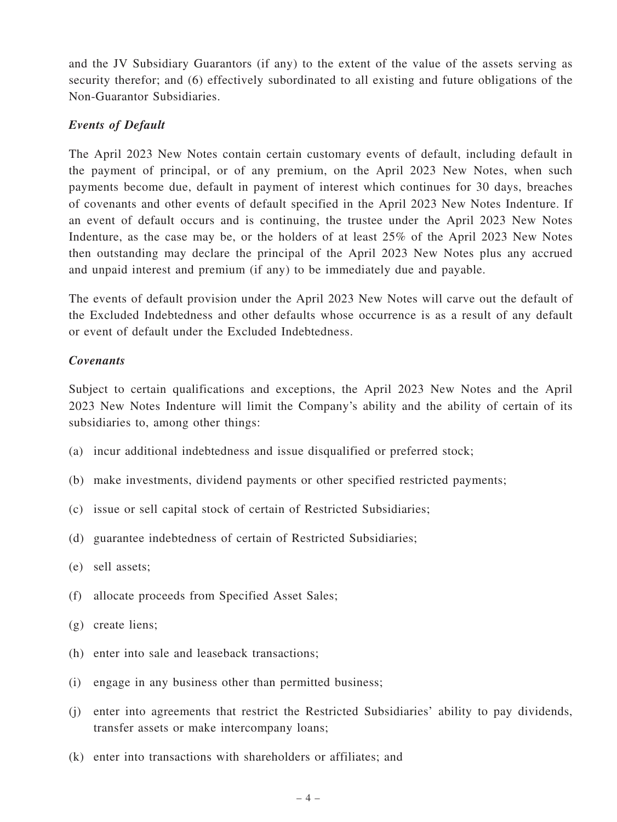and the JV Subsidiary Guarantors (if any) to the extent of the value of the assets serving as security therefor; and (6) effectively subordinated to all existing and future obligations of the Non-Guarantor Subsidiaries.

## Events of Default

The April 2023 New Notes contain certain customary events of default, including default in the payment of principal, or of any premium, on the April 2023 New Notes, when such payments become due, default in payment of interest which continues for 30 days, breaches of covenants and other events of default specified in the April 2023 New Notes Indenture. If an event of default occurs and is continuing, the trustee under the April 2023 New Notes Indenture, as the case may be, or the holders of at least 25% of the April 2023 New Notes then outstanding may declare the principal of the April 2023 New Notes plus any accrued and unpaid interest and premium (if any) to be immediately due and payable.

The events of default provision under the April 2023 New Notes will carve out the default of the Excluded Indebtedness and other defaults whose occurrence is as a result of any default or event of default under the Excluded Indebtedness.

## Covenants

Subject to certain qualifications and exceptions, the April 2023 New Notes and the April 2023 New Notes Indenture will limit the Company's ability and the ability of certain of its subsidiaries to, among other things:

- (a) incur additional indebtedness and issue disqualified or preferred stock;
- (b) make investments, dividend payments or other specified restricted payments;
- (c) issue or sell capital stock of certain of Restricted Subsidiaries;
- (d) guarantee indebtedness of certain of Restricted Subsidiaries;
- (e) sell assets;
- (f) allocate proceeds from Specified Asset Sales;
- (g) create liens;
- (h) enter into sale and leaseback transactions;
- (i) engage in any business other than permitted business;
- (j) enter into agreements that restrict the Restricted Subsidiaries' ability to pay dividends, transfer assets or make intercompany loans;
- (k) enter into transactions with shareholders or affiliates; and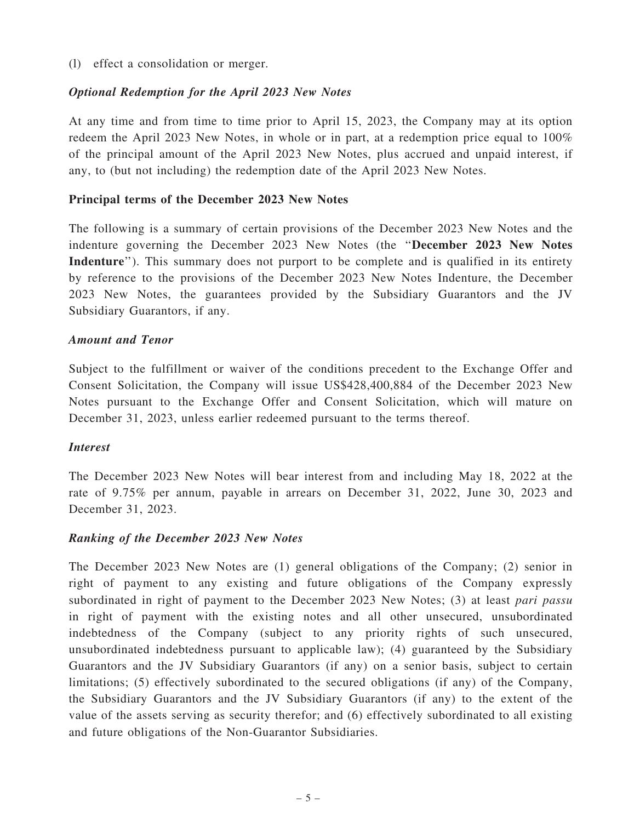(l) effect a consolidation or merger.

#### Optional Redemption for the April 2023 New Notes

At any time and from time to time prior to April 15, 2023, the Company may at its option redeem the April 2023 New Notes, in whole or in part, at a redemption price equal to 100% of the principal amount of the April 2023 New Notes, plus accrued and unpaid interest, if any, to (but not including) the redemption date of the April 2023 New Notes.

#### Principal terms of the December 2023 New Notes

The following is a summary of certain provisions of the December 2023 New Notes and the indenture governing the December 2023 New Notes (the ''December 2023 New Notes Indenture''). This summary does not purport to be complete and is qualified in its entirety by reference to the provisions of the December 2023 New Notes Indenture, the December 2023 New Notes, the guarantees provided by the Subsidiary Guarantors and the JV Subsidiary Guarantors, if any.

#### Amount and Tenor

Subject to the fulfillment or waiver of the conditions precedent to the Exchange Offer and Consent Solicitation, the Company will issue US\$428,400,884 of the December 2023 New Notes pursuant to the Exchange Offer and Consent Solicitation, which will mature on December 31, 2023, unless earlier redeemed pursuant to the terms thereof.

#### Interest

The December 2023 New Notes will bear interest from and including May 18, 2022 at the rate of 9.75% per annum, payable in arrears on December 31, 2022, June 30, 2023 and December 31, 2023.

#### Ranking of the December 2023 New Notes

The December 2023 New Notes are (1) general obligations of the Company; (2) senior in right of payment to any existing and future obligations of the Company expressly subordinated in right of payment to the December 2023 New Notes; (3) at least pari passu in right of payment with the existing notes and all other unsecured, unsubordinated indebtedness of the Company (subject to any priority rights of such unsecured, unsubordinated indebtedness pursuant to applicable law); (4) guaranteed by the Subsidiary Guarantors and the JV Subsidiary Guarantors (if any) on a senior basis, subject to certain limitations; (5) effectively subordinated to the secured obligations (if any) of the Company, the Subsidiary Guarantors and the JV Subsidiary Guarantors (if any) to the extent of the value of the assets serving as security therefor; and (6) effectively subordinated to all existing and future obligations of the Non-Guarantor Subsidiaries.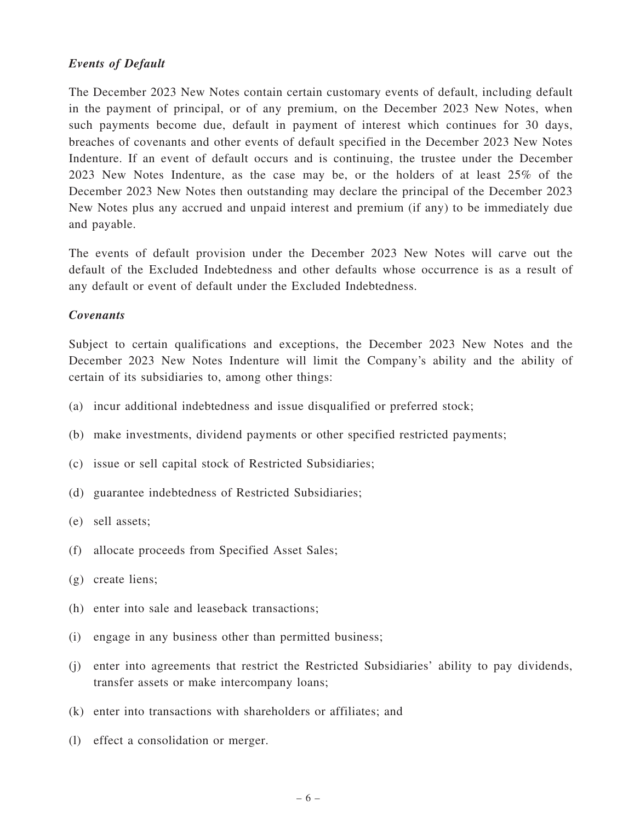## Events of Default

The December 2023 New Notes contain certain customary events of default, including default in the payment of principal, or of any premium, on the December 2023 New Notes, when such payments become due, default in payment of interest which continues for 30 days, breaches of covenants and other events of default specified in the December 2023 New Notes Indenture. If an event of default occurs and is continuing, the trustee under the December 2023 New Notes Indenture, as the case may be, or the holders of at least 25% of the December 2023 New Notes then outstanding may declare the principal of the December 2023 New Notes plus any accrued and unpaid interest and premium (if any) to be immediately due and payable.

The events of default provision under the December 2023 New Notes will carve out the default of the Excluded Indebtedness and other defaults whose occurrence is as a result of any default or event of default under the Excluded Indebtedness.

#### Covenants

Subject to certain qualifications and exceptions, the December 2023 New Notes and the December 2023 New Notes Indenture will limit the Company's ability and the ability of certain of its subsidiaries to, among other things:

- (a) incur additional indebtedness and issue disqualified or preferred stock;
- (b) make investments, dividend payments or other specified restricted payments;
- (c) issue or sell capital stock of Restricted Subsidiaries;
- (d) guarantee indebtedness of Restricted Subsidiaries;
- (e) sell assets;
- (f) allocate proceeds from Specified Asset Sales;
- (g) create liens;
- (h) enter into sale and leaseback transactions;
- (i) engage in any business other than permitted business;
- (j) enter into agreements that restrict the Restricted Subsidiaries' ability to pay dividends, transfer assets or make intercompany loans;
- (k) enter into transactions with shareholders or affiliates; and
- (l) effect a consolidation or merger.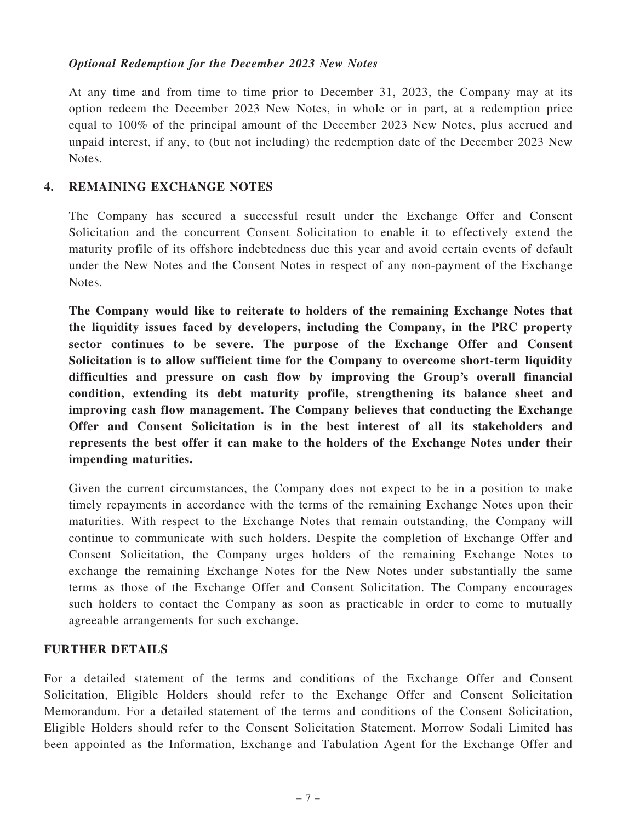## Optional Redemption for the December 2023 New Notes

At any time and from time to time prior to December 31, 2023, the Company may at its option redeem the December 2023 New Notes, in whole or in part, at a redemption price equal to 100% of the principal amount of the December 2023 New Notes, plus accrued and unpaid interest, if any, to (but not including) the redemption date of the December 2023 New Notes.

## 4. REMAINING EXCHANGE NOTES

The Company has secured a successful result under the Exchange Offer and Consent Solicitation and the concurrent Consent Solicitation to enable it to effectively extend the maturity profile of its offshore indebtedness due this year and avoid certain events of default under the New Notes and the Consent Notes in respect of any non-payment of the Exchange Notes.

The Company would like to reiterate to holders of the remaining Exchange Notes that the liquidity issues faced by developers, including the Company, in the PRC property sector continues to be severe. The purpose of the Exchange Offer and Consent Solicitation is to allow sufficient time for the Company to overcome short-term liquidity difficulties and pressure on cash flow by improving the Group's overall financial condition, extending its debt maturity profile, strengthening its balance sheet and improving cash flow management. The Company believes that conducting the Exchange Offer and Consent Solicitation is in the best interest of all its stakeholders and represents the best offer it can make to the holders of the Exchange Notes under their impending maturities.

Given the current circumstances, the Company does not expect to be in a position to make timely repayments in accordance with the terms of the remaining Exchange Notes upon their maturities. With respect to the Exchange Notes that remain outstanding, the Company will continue to communicate with such holders. Despite the completion of Exchange Offer and Consent Solicitation, the Company urges holders of the remaining Exchange Notes to exchange the remaining Exchange Notes for the New Notes under substantially the same terms as those of the Exchange Offer and Consent Solicitation. The Company encourages such holders to contact the Company as soon as practicable in order to come to mutually agreeable arrangements for such exchange.

## FURTHER DETAILS

For a detailed statement of the terms and conditions of the Exchange Offer and Consent Solicitation, Eligible Holders should refer to the Exchange Offer and Consent Solicitation Memorandum. For a detailed statement of the terms and conditions of the Consent Solicitation, Eligible Holders should refer to the Consent Solicitation Statement. Morrow Sodali Limited has been appointed as the Information, Exchange and Tabulation Agent for the Exchange Offer and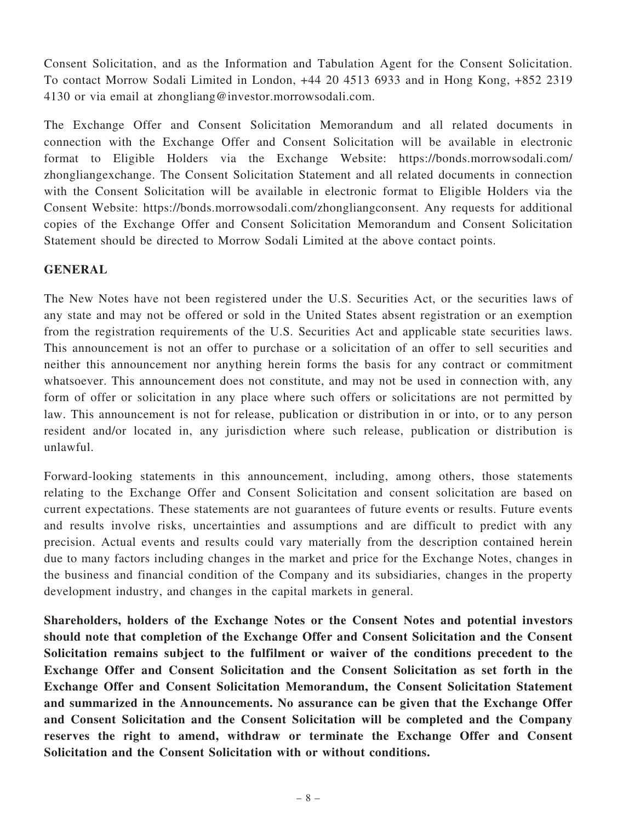Consent Solicitation, and as the Information and Tabulation Agent for the Consent Solicitation. To contact Morrow Sodali Limited in London, +44 20 4513 6933 and in Hong Kong, +852 2319 4130 or via email at [zhongliang@investor.morrowsodali.com](mailto:zhongliang@investor.morrowsodali.com).

The Exchange Offer and Consent Solicitation Memorandum and all related documents in connection with the Exchange Offer and Consent Solicitation will be available in electronic format to Eligible Holders via the Exchange Website: [https://bonds.morrowsodali.com/](https://bonds.morrowsodali.com/zhongliangexchange) [zhongliangexchange.](https://bonds.morrowsodali.com/zhongliangexchange) The Consent Solicitation Statement and all related documents in connection with the Consent Solicitation will be available in electronic format to Eligible Holders via the Consent Website: https://bonds.morrowsodali.com/zhongliangconsent. Any requests for additional copies of the Exchange Offer and Consent Solicitation Memorandum and Consent Solicitation Statement should be directed to Morrow Sodali Limited at the above contact points.

# GENERAL

The New Notes have not been registered under the U.S. Securities Act, or the securities laws of any state and may not be offered or sold in the United States absent registration or an exemption from the registration requirements of the U.S. Securities Act and applicable state securities laws. This announcement is not an offer to purchase or a solicitation of an offer to sell securities and neither this announcement nor anything herein forms the basis for any contract or commitment whatsoever. This announcement does not constitute, and may not be used in connection with, any form of offer or solicitation in any place where such offers or solicitations are not permitted by law. This announcement is not for release, publication or distribution in or into, or to any person resident and/or located in, any jurisdiction where such release, publication or distribution is unlawful.

Forward-looking statements in this announcement, including, among others, those statements relating to the Exchange Offer and Consent Solicitation and consent solicitation are based on current expectations. These statements are not guarantees of future events or results. Future events and results involve risks, uncertainties and assumptions and are difficult to predict with any precision. Actual events and results could vary materially from the description contained herein due to many factors including changes in the market and price for the Exchange Notes, changes in the business and financial condition of the Company and its subsidiaries, changes in the property development industry, and changes in the capital markets in general.

Shareholders, holders of the Exchange Notes or the Consent Notes and potential investors should note that completion of the Exchange Offer and Consent Solicitation and the Consent Solicitation remains subject to the fulfilment or waiver of the conditions precedent to the Exchange Offer and Consent Solicitation and the Consent Solicitation as set forth in the Exchange Offer and Consent Solicitation Memorandum, the Consent Solicitation Statement and summarized in the Announcements. No assurance can be given that the Exchange Offer and Consent Solicitation and the Consent Solicitation will be completed and the Company reserves the right to amend, withdraw or terminate the Exchange Offer and Consent Solicitation and the Consent Solicitation with or without conditions.